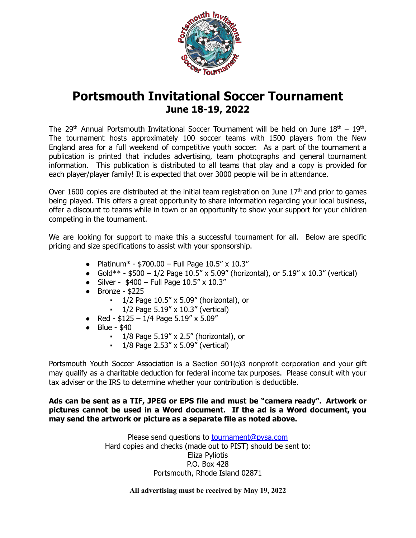

# **Portsmouth Invitational Soccer Tournament June 18-19, 2022**

The 29<sup>th</sup> Annual Portsmouth Invitational Soccer Tournament will be held on June  $18<sup>th</sup> - 19<sup>th</sup>$ . The tournament hosts approximately 100 soccer teams with 1500 players from the New England area for a full weekend of competitive youth soccer. As a part of the tournament a publication is printed that includes advertising, team photographs and general tournament information. This publication is distributed to all teams that play and a copy is provided for each player/player family! It is expected that over 3000 people will be in attendance.

Over 1600 copies are distributed at the initial team registration on June  $17<sup>th</sup>$  and prior to games being played. This offers a great opportunity to share information regarding your local business, offer a discount to teams while in town or an opportunity to show your support for your children competing in the tournament.

We are looking for support to make this a successful tournament for all. Below are specific pricing and size specifications to assist with your sponsorship.

- Platinum\* \$700.00 Full Page  $10.5'' \times 10.3''$
- Gold\*\* \$500 1/2 Page 10.5" x 5.09" (horizontal), or 5.19" x 10.3" (vertical)
- Silver  $$400 Full Page 10.5" \times 10.3"$
- $\bullet$  Bronze \$225
	- $1/2$  Page  $10.5''$  x  $5.09''$  (horizontal), or
	- $\cdot$  1/2 Page 5.19" x 10.3" (vertical)
- Red  $$125 1/4$  Page  $5.19'' \times 5.09''$
- Blue \$40
	- $\cdot$  1/8 Page 5.19" x 2.5" (horizontal), or
	- $\cdot$  1/8 Page 2.53" x 5.09" (vertical)

Portsmouth Youth Soccer Association is a Section 501(c)3 nonprofit corporation and your gift may qualify as a charitable deduction for federal income tax purposes. Please consult with your tax adviser or the IRS to determine whether your contribution is deductible.

#### **Ads can be sent as a TIF, JPEG or EPS file and must be "camera ready". Artwork or pictures cannot be used in a Word document. If the ad is a Word document, you may send the artwork or picture as a separate file as noted above.**

Please send questions to [tournament@pysa.com](mailto:tournament@pysa.com) Hard copies and checks (made out to PIST) should be sent to: Eliza Pyliotis P.O. Box 428 Portsmouth, Rhode Island 02871

**All advertising must be received by May 19, 2022**